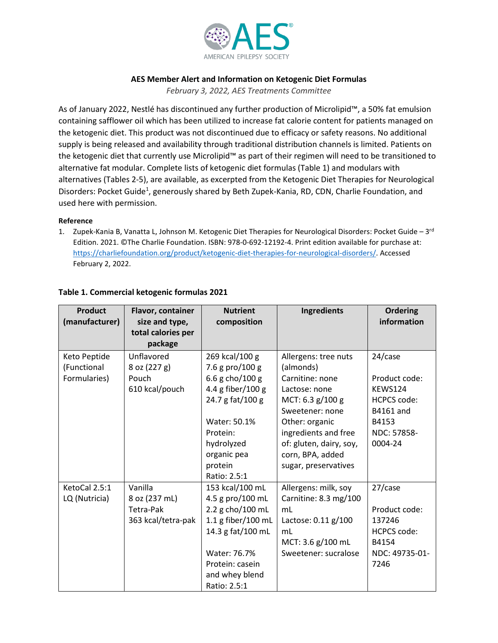

#### **AES Member Alert and Information on Ketogenic Diet Formulas**

*February 3, 2022, AES Treatments Committee*

As of January 2022, Nestlé has discontinued any further production of Microlipid™, a 50% fat emulsion containing safflower oil which has been utilized to increase fat calorie content for patients managed on the ketogenic diet. This product was not discontinued due to efficacy or safety reasons. No additional supply is being released and availability through traditional distribution channels is limited. Patients on the ketogenic diet that currently use Microlipid™ as part of their regimen will need to be transitioned to alternative fat modular. Complete lists of ketogenic diet formulas (Table 1) and modulars with alternatives (Tables 2-5), are available, as excerpted from the Ketogenic Diet Therapies for Neurological Disorders: Pocket Guide<sup>1</sup>, generously shared by Beth Zupek-Kania, RD, CDN, Charlie Foundation, and used here with permission.

#### **Reference**

1. Zupek-Kania B, Vanatta L, Johnson M. Ketogenic Diet Therapies for Neurological Disorders: Pocket Guide –  $3^{rd}$ Edition. 2021. ©The Charlie Foundation. ISBN: 978-0-692-12192-4. Print edition available for purchase at: [https://charliefoundation.org/product/ketogenic-diet-therapies-for-neurological-disorders/.](https://charliefoundation.org/product/ketogenic-diet-therapies-for-neurological-disorders/) Accessed February 2, 2022.

| Flavor, container | <b>Nutrient</b>                                                                                                | Ingredients                                                                                                                                                                                                                                                      | <b>Ordering</b>                                                                                                                                                                                                                                      |
|-------------------|----------------------------------------------------------------------------------------------------------------|------------------------------------------------------------------------------------------------------------------------------------------------------------------------------------------------------------------------------------------------------------------|------------------------------------------------------------------------------------------------------------------------------------------------------------------------------------------------------------------------------------------------------|
|                   |                                                                                                                |                                                                                                                                                                                                                                                                  | information                                                                                                                                                                                                                                          |
|                   |                                                                                                                |                                                                                                                                                                                                                                                                  |                                                                                                                                                                                                                                                      |
| Unflavored        |                                                                                                                |                                                                                                                                                                                                                                                                  | 24/case                                                                                                                                                                                                                                              |
| 8 oz (227 g)      | 7.6 g pro/100 g                                                                                                | (almonds)                                                                                                                                                                                                                                                        |                                                                                                                                                                                                                                                      |
| Pouch             | 6.6 g cho/100 g                                                                                                | Carnitine: none                                                                                                                                                                                                                                                  | Product code:                                                                                                                                                                                                                                        |
| 610 kcal/pouch    | 4.4 g fiber/100 g                                                                                              | Lactose: none                                                                                                                                                                                                                                                    | <b>KEWS124</b>                                                                                                                                                                                                                                       |
|                   | 24.7 g fat/100 g                                                                                               | MCT: 6.3 g/100 g                                                                                                                                                                                                                                                 | <b>HCPCS code:</b>                                                                                                                                                                                                                                   |
|                   |                                                                                                                | Sweetener: none                                                                                                                                                                                                                                                  | B4161 and                                                                                                                                                                                                                                            |
|                   | Water: 50.1%                                                                                                   | Other: organic                                                                                                                                                                                                                                                   | B4153                                                                                                                                                                                                                                                |
|                   | Protein:                                                                                                       |                                                                                                                                                                                                                                                                  | NDC: 57858-                                                                                                                                                                                                                                          |
|                   |                                                                                                                |                                                                                                                                                                                                                                                                  | 0004-24                                                                                                                                                                                                                                              |
|                   |                                                                                                                |                                                                                                                                                                                                                                                                  |                                                                                                                                                                                                                                                      |
|                   |                                                                                                                |                                                                                                                                                                                                                                                                  |                                                                                                                                                                                                                                                      |
|                   |                                                                                                                |                                                                                                                                                                                                                                                                  |                                                                                                                                                                                                                                                      |
|                   |                                                                                                                |                                                                                                                                                                                                                                                                  | 27/case                                                                                                                                                                                                                                              |
|                   |                                                                                                                |                                                                                                                                                                                                                                                                  |                                                                                                                                                                                                                                                      |
|                   |                                                                                                                |                                                                                                                                                                                                                                                                  | Product code:                                                                                                                                                                                                                                        |
|                   |                                                                                                                |                                                                                                                                                                                                                                                                  | 137246                                                                                                                                                                                                                                               |
|                   |                                                                                                                |                                                                                                                                                                                                                                                                  | <b>HCPCS code:</b>                                                                                                                                                                                                                                   |
|                   |                                                                                                                |                                                                                                                                                                                                                                                                  | B4154                                                                                                                                                                                                                                                |
|                   |                                                                                                                |                                                                                                                                                                                                                                                                  | NDC: 49735-01-                                                                                                                                                                                                                                       |
|                   |                                                                                                                |                                                                                                                                                                                                                                                                  | 7246                                                                                                                                                                                                                                                 |
|                   |                                                                                                                |                                                                                                                                                                                                                                                                  |                                                                                                                                                                                                                                                      |
|                   | size and type,<br>total calories per<br>package<br>Vanilla<br>8 oz (237 mL)<br>Tetra-Pak<br>363 kcal/tetra-pak | composition<br>269 kcal/100 g<br>hydrolyzed<br>organic pea<br>protein<br>Ratio: 2.5:1<br>153 kcal/100 mL<br>4.5 g pro/100 mL<br>2.2 g cho/100 mL<br>1.1 g fiber/100 mL<br>14.3 g fat/100 mL<br>Water: 76.7%<br>Protein: casein<br>and whey blend<br>Ratio: 2.5:1 | Allergens: tree nuts<br>ingredients and free<br>of: gluten, dairy, soy,<br>corn, BPA, added<br>sugar, preservatives<br>Allergens: milk, soy<br>Carnitine: 8.3 mg/100<br>mL<br>Lactose: 0.11 g/100<br>mL<br>MCT: 3.6 g/100 mL<br>Sweetener: sucralose |

### **Table 1. Commercial ketogenic formulas 2021**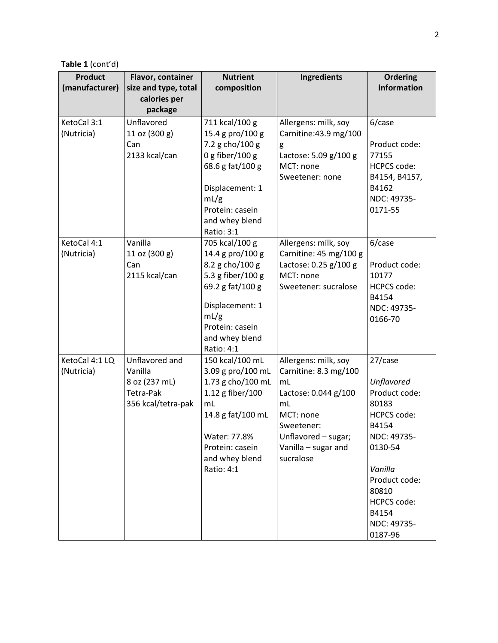**Table 1** (cont'd)

| <b>Product</b><br>(manufacturer) | Flavor, container<br>size and type, total<br>calories per | <b>Nutrient</b><br>composition         | Ingredients                 | <b>Ordering</b><br>information |
|----------------------------------|-----------------------------------------------------------|----------------------------------------|-----------------------------|--------------------------------|
|                                  | package                                                   |                                        |                             |                                |
| KetoCal 3:1                      | Unflavored                                                | 711 kcal/100 g                         | Allergens: milk, soy        | 6/case                         |
| (Nutricia)                       | 11 oz (300 g)                                             | 15.4 g pro/100 g                       | Carnitine: 43.9 mg/100      |                                |
|                                  | Can                                                       | 7.2 g cho/100 g                        | g                           | Product code:                  |
|                                  | 2133 kcal/can                                             | $0 g$ fiber/100 $g$                    | Lactose: 5.09 g/100 g       | 77155                          |
|                                  |                                                           | 68.6 g fat/100 g                       | MCT: none                   | <b>HCPCS code:</b>             |
|                                  |                                                           |                                        | Sweetener: none             | B4154, B4157,                  |
|                                  |                                                           | Displacement: 1                        |                             | B4162                          |
|                                  |                                                           | mL/g<br>Protein: casein                |                             | NDC: 49735-                    |
|                                  |                                                           | and whey blend                         |                             | 0171-55                        |
|                                  |                                                           | Ratio: 3:1                             |                             |                                |
| KetoCal 4:1                      | Vanilla                                                   | 705 kcal/100 g                         | Allergens: milk, soy        | 6/case                         |
| (Nutricia)                       | 11 oz (300 g)                                             | 14.4 g pro/100 g                       | Carnitine: 45 mg/100 g      |                                |
|                                  | Can                                                       | 8.2 g cho/100 g                        | Lactose: 0.25 g/100 g       | Product code:                  |
|                                  | 2115 kcal/can                                             | 5.3 g fiber/100 g                      | MCT: none                   | 10177                          |
|                                  |                                                           | 69.2 g fat/100 g                       | Sweetener: sucralose        | <b>HCPCS code:</b>             |
|                                  |                                                           |                                        |                             | B4154                          |
|                                  |                                                           | Displacement: 1                        |                             | NDC: 49735-                    |
|                                  |                                                           | mL/g                                   |                             | 0166-70                        |
|                                  |                                                           | Protein: casein                        |                             |                                |
|                                  |                                                           | and whey blend                         |                             |                                |
|                                  |                                                           | Ratio: 4:1                             |                             |                                |
| KetoCal 4:1 LQ                   | Unflavored and<br>Vanilla                                 | 150 kcal/100 mL                        | Allergens: milk, soy        | 27/case                        |
| (Nutricia)                       | 8 oz (237 mL)                                             | 3.09 g pro/100 mL<br>1.73 g cho/100 mL | Carnitine: 8.3 mg/100<br>mL | Unflavored                     |
|                                  | Tetra-Pak                                                 | 1.12 g fiber/100                       | Lactose: 0.044 g/100        | Product code:                  |
|                                  | 356 kcal/tetra-pak                                        | mL                                     | mL                          | 80183                          |
|                                  |                                                           | 14.8 g fat/100 mL                      | MCT: none                   | <b>HCPCS code:</b>             |
|                                  |                                                           |                                        | Sweetener:                  | B4154                          |
|                                  |                                                           | Water: 77.8%                           | Unflavored - sugar;         | NDC: 49735-                    |
|                                  |                                                           | Protein: casein                        | Vanilla - sugar and         | 0130-54                        |
|                                  |                                                           | and whey blend                         | sucralose                   |                                |
|                                  |                                                           | Ratio: 4:1                             |                             | Vanilla                        |
|                                  |                                                           |                                        |                             | Product code:                  |
|                                  |                                                           |                                        |                             | 80810                          |
|                                  |                                                           |                                        |                             | <b>HCPCS code:</b>             |
|                                  |                                                           |                                        |                             | B4154                          |
|                                  |                                                           |                                        |                             | NDC: 49735-                    |
|                                  |                                                           |                                        |                             | 0187-96                        |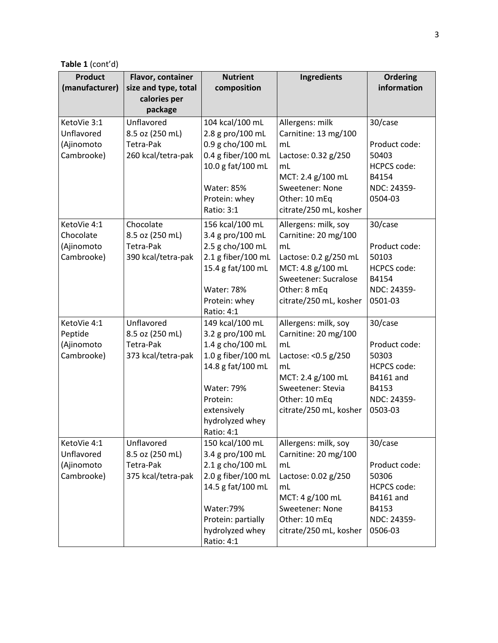**Table 1** (cont'd)

| <b>Product</b> | Flavor, container                    | <b>Nutrient</b>    | <b>Ingredients</b>                     | <b>Ordering</b>             |
|----------------|--------------------------------------|--------------------|----------------------------------------|-----------------------------|
| (manufacturer) | size and type, total<br>calories per | composition        |                                        | information                 |
|                | package                              |                    |                                        |                             |
| KetoVie 3:1    | Unflavored                           | 104 kcal/100 mL    | Allergens: milk                        | 30/case                     |
| Unflavored     | 8.5 oz (250 mL)                      | 2.8 g pro/100 mL   | Carnitine: 13 mg/100                   |                             |
| (Ajinomoto     | Tetra-Pak                            | 0.9 g cho/100 mL   | mL                                     | Product code:               |
| Cambrooke)     | 260 kcal/tetra-pak                   | 0.4 g fiber/100 mL | Lactose: 0.32 g/250                    | 50403                       |
|                |                                      | 10.0 g fat/100 mL  | mL                                     | <b>HCPCS code:</b>          |
|                |                                      |                    | MCT: 2.4 g/100 mL                      | B4154                       |
|                |                                      | <b>Water: 85%</b>  | Sweetener: None                        | NDC: 24359-                 |
|                |                                      | Protein: whey      | Other: 10 mEq                          | 0504-03                     |
|                |                                      | Ratio: 3:1         | citrate/250 mL, kosher                 |                             |
| KetoVie 4:1    | Chocolate                            | 156 kcal/100 mL    | Allergens: milk, soy                   | 30/case                     |
| Chocolate      | 8.5 oz (250 mL)                      | 3.4 g pro/100 mL   | Carnitine: 20 mg/100                   |                             |
| (Ajinomoto     | Tetra-Pak                            | 2.5 g cho/100 mL   | mL                                     | Product code:               |
| Cambrooke)     | 390 kcal/tetra-pak                   | 2.1 g fiber/100 mL | Lactose: 0.2 g/250 mL                  | 50103                       |
|                |                                      | 15.4 g fat/100 mL  | MCT: 4.8 g/100 mL                      | <b>HCPCS code:</b>          |
|                |                                      | <b>Water: 78%</b>  | Sweetener: Sucralose                   | B4154<br>NDC: 24359-        |
|                |                                      | Protein: whey      | Other: 8 mEq<br>citrate/250 mL, kosher | 0501-03                     |
|                |                                      | Ratio: 4:1         |                                        |                             |
| KetoVie 4:1    | Unflavored                           | 149 kcal/100 mL    | Allergens: milk, soy                   | 30/case                     |
| Peptide        | 8.5 oz (250 mL)                      | 3.2 g pro/100 mL   | Carnitine: 20 mg/100                   |                             |
| (Ajinomoto     | Tetra-Pak                            | 1.4 g cho/100 mL   | mL                                     | Product code:               |
| Cambrooke)     | 373 kcal/tetra-pak                   | 1.0 g fiber/100 mL | Lactose: < 0.5 g/250                   | 50303                       |
|                |                                      | 14.8 g fat/100 mL  | mL                                     | <b>HCPCS code:</b>          |
|                |                                      |                    | MCT: 2.4 g/100 mL                      | <b>B4161 and</b>            |
|                |                                      | <b>Water: 79%</b>  | Sweetener: Stevia                      | B4153                       |
|                |                                      | Protein:           | Other: 10 mEq                          | NDC: 24359-                 |
|                |                                      | extensively        | citrate/250 mL, kosher                 | 0503-03                     |
|                |                                      | hydrolyzed whey    |                                        |                             |
|                |                                      | Ratio: 4:1         |                                        |                             |
| KetoVie 4:1    | Unflavored                           | 150 kcal/100 mL    | Allergens: milk, soy                   | 30/case                     |
| Unflavored     | 8.5 oz (250 mL)                      | 3.4 g pro/100 mL   | Carnitine: 20 mg/100                   |                             |
| (Ajinomoto     | Tetra-Pak                            | 2.1 g cho/100 mL   | mL                                     | Product code:               |
| Cambrooke)     | 375 kcal/tetra-pak                   | 2.0 g fiber/100 mL | Lactose: 0.02 g/250                    | 50306<br><b>HCPCS code:</b> |
|                |                                      | 14.5 g fat/100 mL  | mL<br>MCT: 4 g/100 mL                  | <b>B4161 and</b>            |
|                |                                      | Water:79%          | Sweetener: None                        | B4153                       |
|                |                                      | Protein: partially | Other: 10 mEq                          | NDC: 24359-                 |
|                |                                      | hydrolyzed whey    | citrate/250 mL, kosher                 | 0506-03                     |
|                |                                      | Ratio: 4:1         |                                        |                             |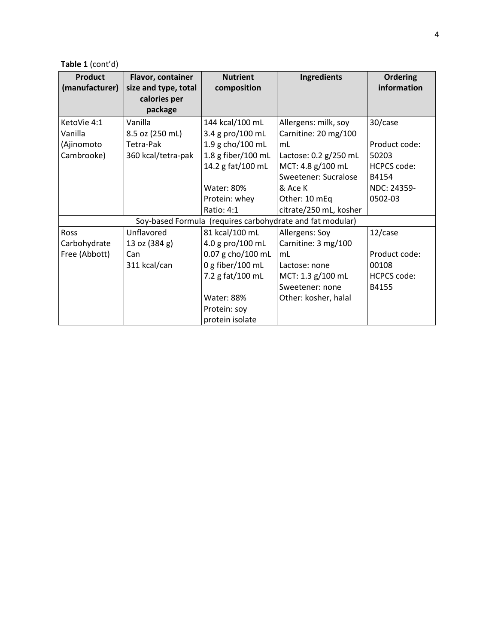**Table 1** (cont'd)

| <b>Product</b>                                            | Flavor, container    | <b>Nutrient</b>    | Ingredients            | <b>Ordering</b>    |
|-----------------------------------------------------------|----------------------|--------------------|------------------------|--------------------|
| (manufacturer)                                            | size and type, total | composition        |                        | information        |
|                                                           | calories per         |                    |                        |                    |
|                                                           | package              |                    |                        |                    |
| KetoVie 4:1                                               | Vanilla              | 144 kcal/100 mL    | Allergens: milk, soy   | 30/case            |
| Vanilla                                                   | 8.5 oz (250 mL)      | 3.4 g pro/100 mL   | Carnitine: 20 mg/100   |                    |
| (Ajinomoto                                                | Tetra-Pak            | 1.9 g cho/100 mL   | mL                     | Product code:      |
| Cambrooke)                                                | 360 kcal/tetra-pak   | 1.8 g fiber/100 mL | Lactose: 0.2 g/250 mL  | 50203              |
|                                                           |                      | 14.2 g fat/100 mL  | MCT: 4.8 g/100 mL      | <b>HCPCS code:</b> |
|                                                           |                      |                    | Sweetener: Sucralose   | B4154              |
|                                                           |                      | <b>Water: 80%</b>  | & Ace K                | NDC: 24359-        |
|                                                           |                      | Protein: whey      | Other: 10 mEq          | 0502-03            |
|                                                           |                      | Ratio: 4:1         | citrate/250 mL, kosher |                    |
| Soy-based Formula (requires carbohydrate and fat modular) |                      |                    |                        |                    |
| Ross                                                      | Unflavored           | 81 kcal/100 mL     | Allergens: Soy         | $12/c$ ase         |
| Carbohydrate                                              | 13 oz (384 g)        | 4.0 g pro/100 mL   | Carnitine: 3 mg/100    |                    |
| Free (Abbott)                                             | Can                  | 0.07 g cho/100 mL  | mL                     | Product code:      |
|                                                           | 311 kcal/can         | 0 g fiber/100 mL   | Lactose: none          | 00108              |
|                                                           |                      | 7.2 g fat/100 mL   | MCT: 1.3 g/100 mL      | <b>HCPCS code:</b> |
|                                                           |                      |                    | Sweetener: none        | B4155              |
|                                                           |                      | <b>Water: 88%</b>  | Other: kosher, halal   |                    |
|                                                           |                      | Protein: soy       |                        |                    |
|                                                           |                      | protein isolate    |                        |                    |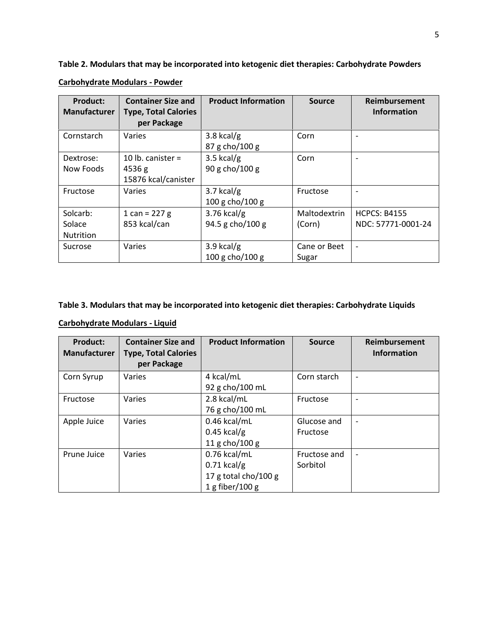**Table 2. Modulars that may be incorporated into ketogenic diet therapies: Carbohydrate Powders**

| <b>Product:</b>     | <b>Container Size and</b>   | <b>Product Information</b> | <b>Source</b> | Reimbursement                |
|---------------------|-----------------------------|----------------------------|---------------|------------------------------|
| <b>Manufacturer</b> | <b>Type, Total Calories</b> |                            |               | <b>Information</b>           |
|                     | per Package                 |                            |               |                              |
| Cornstarch          | Varies                      | $3.8$ kcal/g               | Corn          | ۰                            |
|                     |                             | 87 g cho/100 g             |               |                              |
| Dextrose:           | 10 lb. canister $=$         | $3.5$ kcal/g               | Corn          | ۰                            |
| Now Foods           | 4536 g                      | 90 g cho/100 g             |               |                              |
|                     | 15876 kcal/canister         |                            |               |                              |
| Fructose            | Varies                      | $3.7$ kcal/g               | Fructose      | ۰                            |
|                     |                             | 100 g cho/100 g            |               |                              |
| Solcarb:            | 1 can = $227 g$             | $3.76$ kcal/g              | Maltodextrin  | <b>HCPCS: B4155</b>          |
| Solace              | 853 kcal/can                | 94.5 g cho/100 g           | (Corn)        | NDC: 57771-0001-24           |
| Nutrition           |                             |                            |               |                              |
| Sucrose             | Varies                      | 3.9 kcal/g                 | Cane or Beet  | $\qquad \qquad \blacksquare$ |
|                     |                             | $100 g$ cho/ $100 g$       | Sugar         |                              |

**Carbohydrate Modulars - Powder**

## **Table 3. Modulars that may be incorporated into ketogenic diet therapies: Carbohydrate Liquids**

# **Carbohydrate Modulars - Liquid**

| <b>Product:</b><br>Manufacturer | <b>Container Size and</b><br><b>Type, Total Calories</b><br>per Package | <b>Product Information</b> | <b>Source</b> | Reimbursement<br><b>Information</b> |
|---------------------------------|-------------------------------------------------------------------------|----------------------------|---------------|-------------------------------------|
| Corn Syrup                      | Varies                                                                  | 4 kcal/mL                  | Corn starch   | $\overline{\phantom{a}}$            |
|                                 |                                                                         | 92 g cho/100 mL            |               |                                     |
| Fructose                        | Varies                                                                  | 2.8 kcal/mL                | Fructose      | $\overline{\phantom{a}}$            |
|                                 |                                                                         | 76 g cho/100 mL            |               |                                     |
| Apple Juice                     | Varies                                                                  | 0.46 kcal/mL               | Glucose and   | $\overline{\phantom{a}}$            |
|                                 |                                                                         | $0.45$ kcal/g              | Fructose      |                                     |
|                                 |                                                                         | 11 g cho/100 g             |               |                                     |
| Prune Juice                     | Varies                                                                  | 0.76 kcal/mL               | Fructose and  | $\overline{\phantom{a}}$            |
|                                 |                                                                         | $0.71$ kcal/g              | Sorbitol      |                                     |
|                                 |                                                                         | 17 g total cho/100 g       |               |                                     |
|                                 |                                                                         | $1$ g fiber/100 g          |               |                                     |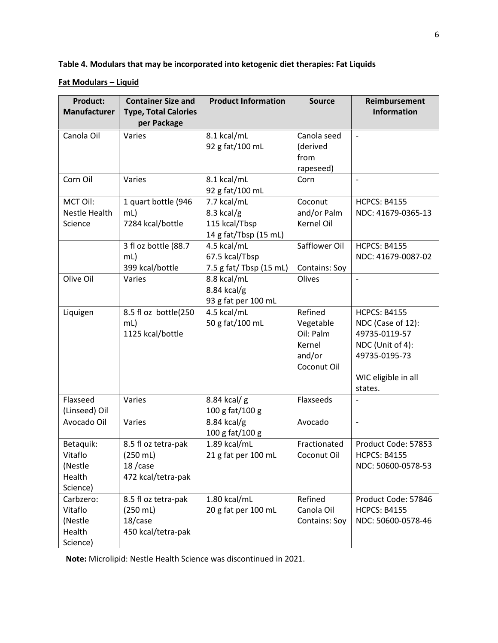**Table 4. Modulars that may be incorporated into ketogenic diet therapies: Fat Liquids**

## **Fat Modulars – Liquid**

| <b>Product:</b><br><b>Manufacturer</b>                | <b>Container Size and</b><br><b>Type, Total Calories</b>                     | <b>Product Information</b>                                            | <b>Source</b>                                                        | Reimbursement<br><b>Information</b>                                                                                              |
|-------------------------------------------------------|------------------------------------------------------------------------------|-----------------------------------------------------------------------|----------------------------------------------------------------------|----------------------------------------------------------------------------------------------------------------------------------|
|                                                       | per Package                                                                  |                                                                       |                                                                      |                                                                                                                                  |
| Canola Oil                                            | Varies                                                                       | 8.1 kcal/mL<br>92 g fat/100 mL                                        | Canola seed<br>(derived<br>from<br>rapeseed)                         |                                                                                                                                  |
| Corn Oil                                              | Varies                                                                       | 8.1 kcal/mL<br>92 g fat/100 mL                                        | Corn                                                                 |                                                                                                                                  |
| MCT Oil:<br>Nestle Health<br>Science                  | 1 quart bottle (946<br>$mL$ )<br>7284 kcal/bottle                            | 7.7 kcal/mL<br>$8.3$ kcal/g<br>115 kcal/Tbsp<br>14 g fat/Tbsp (15 mL) | Coconut<br>and/or Palm<br>Kernel Oil                                 | <b>HCPCS: B4155</b><br>NDC: 41679-0365-13                                                                                        |
|                                                       | 3 fl oz bottle (88.7<br>$mL$ )<br>399 kcal/bottle                            | 4.5 kcal/mL<br>67.5 kcal/Tbsp<br>7.5 g fat/ Tbsp (15 mL)              | Safflower Oil<br>Contains: Soy                                       | <b>HCPCS: B4155</b><br>NDC: 41679-0087-02                                                                                        |
| Olive Oil                                             | Varies                                                                       | 8.8 kcal/mL<br>$8.84$ kcal/g<br>93 g fat per 100 mL                   | Olives                                                               | $\overline{\phantom{a}}$                                                                                                         |
| Liquigen                                              | 8.5 fl oz bottle(250<br>mL<br>1125 kcal/bottle                               | 4.5 kcal/mL<br>50 g fat/100 mL                                        | Refined<br>Vegetable<br>Oil: Palm<br>Kernel<br>and/or<br>Coconut Oil | <b>HCPCS: B4155</b><br>NDC (Case of 12):<br>49735-0119-57<br>NDC (Unit of 4):<br>49735-0195-73<br>WIC eligible in all<br>states. |
| Flaxseed<br>(Linseed) Oil                             | Varies                                                                       | 8.84 kcal/ g<br>100 g fat/100 g                                       | Flaxseeds                                                            |                                                                                                                                  |
| Avocado Oil                                           | Varies                                                                       | $8.84$ kcal/g<br>100 g fat/100 g                                      | Avocado                                                              | $\frac{1}{2}$                                                                                                                    |
| Betaquik:<br>Vitaflo<br>(Nestle<br>Health<br>Science) | 8.5 fl oz tetra-pak<br>$(250 \, \text{mL})$<br>18/case<br>472 kcal/tetra-pak | 1.89 kcal/mL<br>21 g fat per 100 mL                                   | Fractionated<br>Coconut Oil                                          | Product Code: 57853<br>HCPCS: R4155<br>NDC: 50600-0578-53                                                                        |
| Carbzero:<br>Vitaflo<br>(Nestle<br>Health<br>Science) | 8.5 fl oz tetra-pak<br>$(250 \text{ mL})$<br>18/case<br>450 kcal/tetra-pak   | 1.80 kcal/mL<br>20 g fat per 100 mL                                   | Refined<br>Canola Oil<br>Contains: Soy                               | Product Code: 57846<br><b>HCPCS: B4155</b><br>NDC: 50600-0578-46                                                                 |

**Note:** Microlipid: Nestle Health Science was discontinued in 2021.